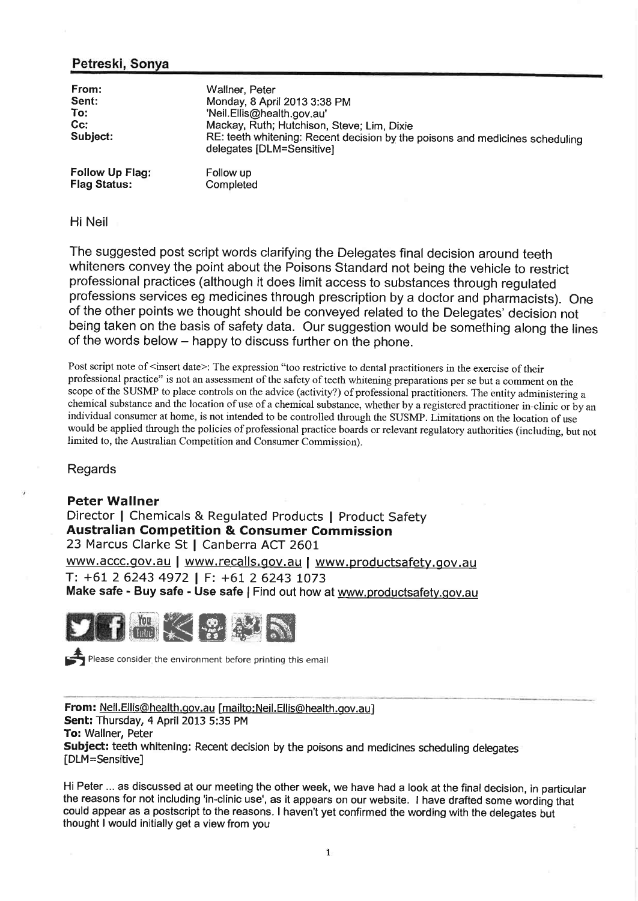## Petreski, Sonya

| From:<br>Sent:                         | Wallner, Peter<br>Monday, 8 April 2013 3:38 PM                                                            |
|----------------------------------------|-----------------------------------------------------------------------------------------------------------|
| To:                                    | 'Neil.Ellis@health.gov.au'                                                                                |
| $C_{\mathbf{C}}$ :                     | Mackay, Ruth; Hutchison, Steve; Lim, Dixie                                                                |
| Subject:                               | RE: teeth whitening: Recent decision by the poisons and medicines scheduling<br>delegates [DLM=Sensitive] |
| Follow Up Flag:<br><b>Flag Status:</b> | Follow up<br>Completed                                                                                    |

## Hi Neil

The suggested post script words clarifying the Delegates final decision around teeth whiteners convey the point about the Poisons Standard not being the vehicle to restrict professional practices (although it does limit access to substances through regulated professions services eg medicines through prescription by a doctor and pharmacists). One of the other points we thought should be conveyed related to the Delegates' decision not being taken on the basis of safety data. Our suggestion would be something along the lines of the words below - happy to discuss further on the phone.

Post script note of <insert date>: The expression "too restrictive to dental practitioners in the exercise of their professional practice" is not an assessment of the safety of teeth whitening preparations per se but a comment on the scope of the SUSMP to place controls on the advice (activity?) of professional practitioners. The entity administering <sup>a</sup> chemical substance and the location of use of a chemical substance, whether by a registered practitioner in-clinic or by an individual consumer at home, is not intended to be controlled through the SUSMP. Limitations on the location of use would be applied through the policies of professional practice boards or relevant regulatory authorities (including, but not limited to, the Australian Competition and Consumer Commission).

## Regards

## Peter Wallner

Director I Chemicals & Regulated Products I Product Safety Australian Competition & Consumer Commission 23 Marcus Clarke St | Canberra ACT 2601

www.accc.gov.au | www.recalls.gov.au | www.productsafety.gov.au T: +61 2 6243 4972 | F: +61 2 6243 LO73 Make safe - Buy safe - Use safe | Find out how at www.productsafety.gov.au



 $\blacktriangleright$  Please consider the environment before printing this email

From: Neil.Ellis@health.gov.au [mailto:Neil.Ellis@health.gov.au] Sent: Thursday, 4 April 2013 5:35 PM To: Wallner, Peter Subject: teeth whitening: Recent decision by the poisons and medicines scheduling delegates [DLM=Sensitive]

Hi Peter ... as discussed at our meeting the other week, we have had a look at the final decision, in particular the reasons for not including 'in-clinic use', as it appears on our website. I have drafted some wording that could appear as a postscript to the reasons. I haven't yet confirmed the wording with the delegates but thought I would initially get a view from you